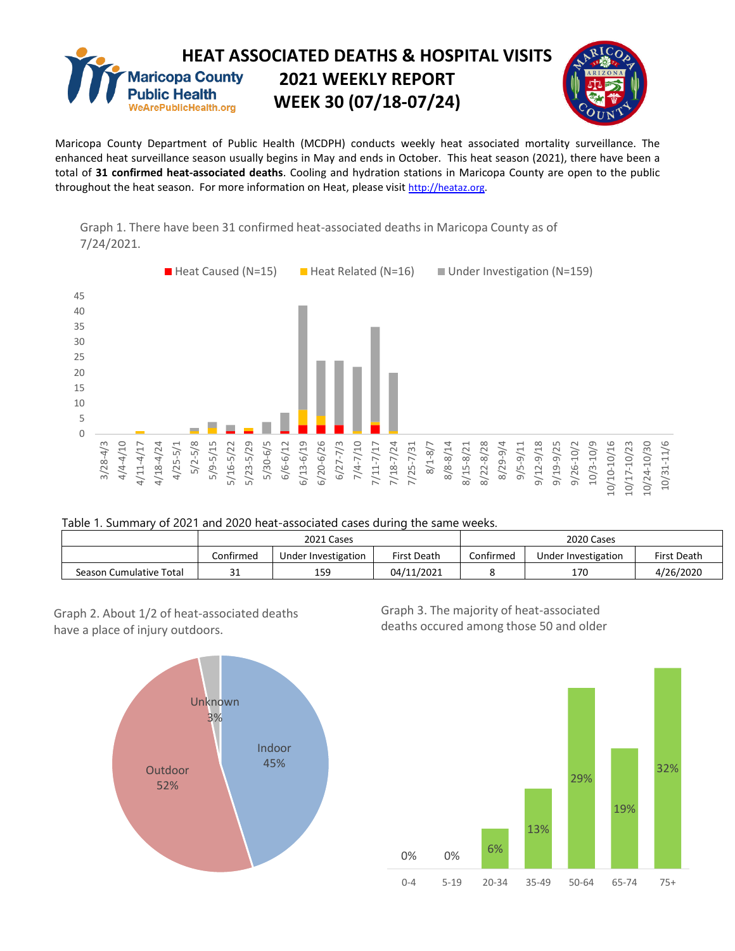

Maricopa County Department of Public Health (MCDPH) conducts weekly heat associated mortality surveillance. The enhanced heat surveillance season usually begins in May and ends in October. This heat season (2021), there have been a total of **31 confirmed heat-associated deaths**. Cooling and hydration stations in Maricopa County are open to the public throughout the heat season. For more information on Heat, please visit [http://heataz.org.](http://heataz.org/)





## Table 1. Summary of 2021 and 2020 heat-associated cases during the same weeks.

|                         | 2021 Cases |                     |             | 2020 Cases |                     |                    |
|-------------------------|------------|---------------------|-------------|------------|---------------------|--------------------|
|                         | Confirmed  | Under Investigation | First Death | Confirmed  | Under Investigation | <b>First Death</b> |
| Season Cumulative Total | าง<br>⊥ ت  | 159                 | 04/11/2021  |            | 170                 | 4/26/2020          |

Graph 2. About 1/2 of heat-associated deaths have a place of injury outdoors.



Graph 3. The majority of heat-associated deaths occured among those 50 and older

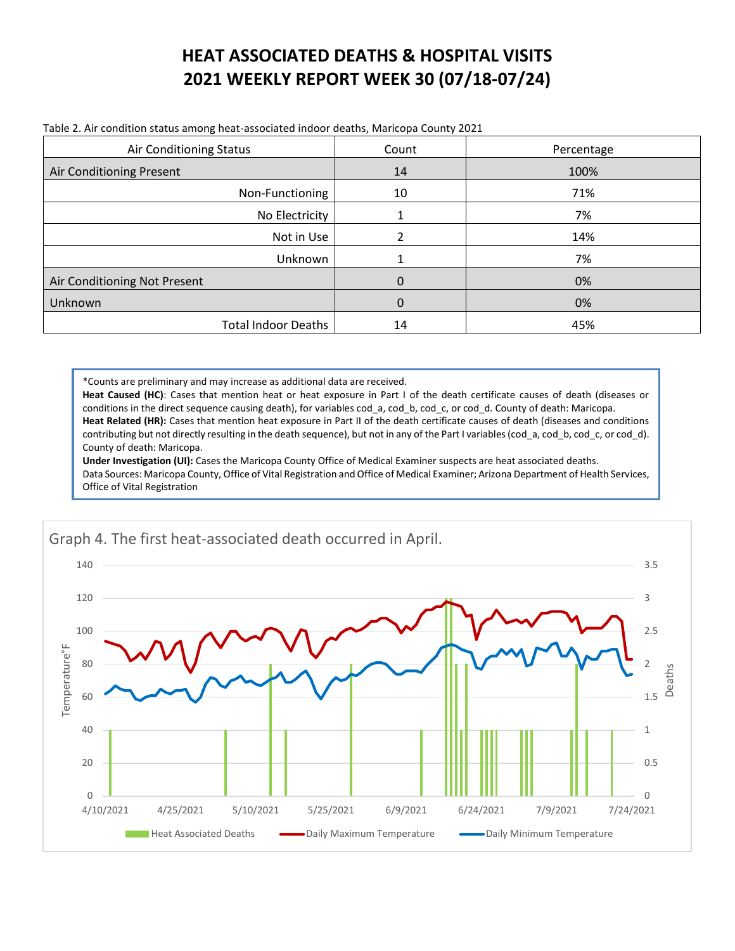## **HEAT ASSOCIATED DEATHS & HOSPITAL VISITS 2021 WEEKLY REPORT WEEK 30 (07/18-07/24)**

| Air Conditioning Status      | Count       | Percentage |
|------------------------------|-------------|------------|
| Air Conditioning Present     | 14          | 100%       |
| Non-Functioning              | 10          | 71%        |
| No Electricity               |             | 7%         |
| Not in Use                   | 2           | 14%        |
| Unknown                      |             | 7%         |
| Air Conditioning Not Present | $\mathbf 0$ | 0%         |
| Unknown                      | $\mathbf 0$ | 0%         |
| <b>Total Indoor Deaths</b>   | 14          | 45%        |

Table 2. Air condition status among heat-associated indoor deaths, Maricopa County 2021

\*Counts are preliminary and may increase as additional data are received.

**Heat Caused (HC)**: Cases that mention heat or heat exposure in Part I of the death certificate causes of death (diseases or conditions in the direct sequence causing death), for variables cod\_a, cod\_b, cod\_c, or cod\_d. County of death: Maricopa. Heat Related (HR): Cases that mention heat exposure in Part II of the death certificate causes of death (diseases and conditions contributing but not directly resulting in the death sequence), but not in any of the Part I variables (cod a, cod b, cod c, or cod d). County of death: Maricopa.

**Under Investigation (UI):** Cases the Maricopa County Office of Medical Examiner suspects are heat associated deaths. Data Sources: Maricopa County, Office of Vital Registration and Office of Medical Examiner; Arizona Department of Health Services, Office of Vital Registration